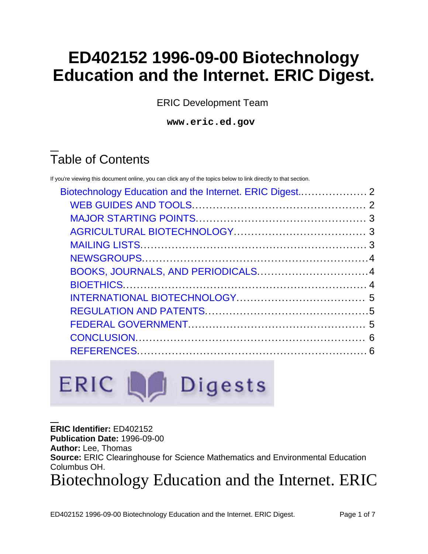# **ED402152 1996-09-00 Biotechnology Education and the Internet. ERIC Digest.**

ERIC Development Team

**www.eric.ed.gov**

# Table of Contents

If you're viewing this document online, you can click any of the topics below to link directly to that section.



**ERIC Identifier:** ED402152 **Publication Date:** 1996-09-00 **Author:** Lee, Thomas **Source:** ERIC Clearinghouse for Science Mathematics and Environmental Education Columbus OH. Biotechnology Education and the Internet. ERIC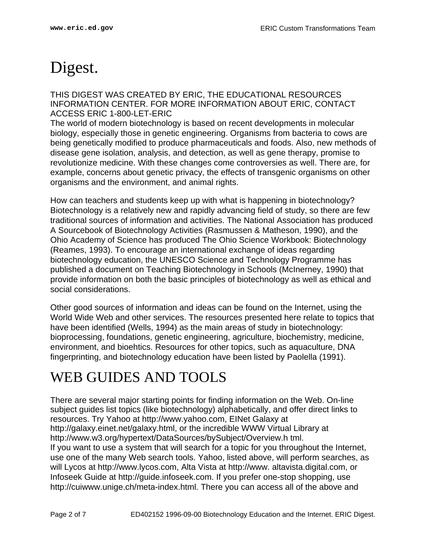# <span id="page-1-0"></span>Digest.

THIS DIGEST WAS CREATED BY ERIC, THE EDUCATIONAL RESOURCES INFORMATION CENTER. FOR MORE INFORMATION ABOUT ERIC, CONTACT ACCESS ERIC 1-800-LET-ERIC

The world of modern biotechnology is based on recent developments in molecular biology, especially those in genetic engineering. Organisms from bacteria to cows are being genetically modified to produce pharmaceuticals and foods. Also, new methods of disease gene isolation, analysis, and detection, as well as gene therapy, promise to revolutionize medicine. With these changes come controversies as well. There are, for example, concerns about genetic privacy, the effects of transgenic organisms on other organisms and the environment, and animal rights.

How can teachers and students keep up with what is happening in biotechnology? Biotechnology is a relatively new and rapidly advancing field of study, so there are few traditional sources of information and activities. The National Association has produced A Sourcebook of Biotechnology Activities (Rasmussen & Matheson, 1990), and the Ohio Academy of Science has produced The Ohio Science Workbook: Biotechnology (Reames, 1993). To encourage an international exchange of ideas regarding biotechnology education, the UNESCO Science and Technology Programme has published a document on Teaching Biotechnology in Schools (McInerney, 1990) that provide information on both the basic principles of biotechnology as well as ethical and social considerations.

Other good sources of information and ideas can be found on the Internet, using the World Wide Web and other services. The resources presented here relate to topics that have been identified (Wells, 1994) as the main areas of study in biotechnology: bioprocessing, foundations, genetic engineering, agriculture, biochemistry, medicine, environment, and bioehtics. Resources for other topics, such as aquaculture, DNA fingerprinting, and biotechnology education have been listed by Paolella (1991).

## <span id="page-1-1"></span>WEB GUIDES AND TOOLS

There are several major starting points for finding information on the Web. On-line subject guides list topics (like biotechnology) alphabetically, and offer direct links to resources. Try Yahoo at http://www.yahoo.com, EINet Galaxy at http://galaxy.einet.net/galaxy.html, or the incredible WWW Virtual Library at http://www.w3.org/hypertext/DataSources/bySubject/Overview.h tml. If you want to use a system that will search for a topic for you throughout the Internet, use one of the many Web search tools. Yahoo, listed above, will perform searches, as will Lycos at http://www.lycos.com, Alta Vista at http://www. altavista.digital.com, or Infoseek Guide at http://guide.infoseek.com. If you prefer one-stop shopping, use http://cuiwww.unige.ch/meta-index.html. There you can access all of the above and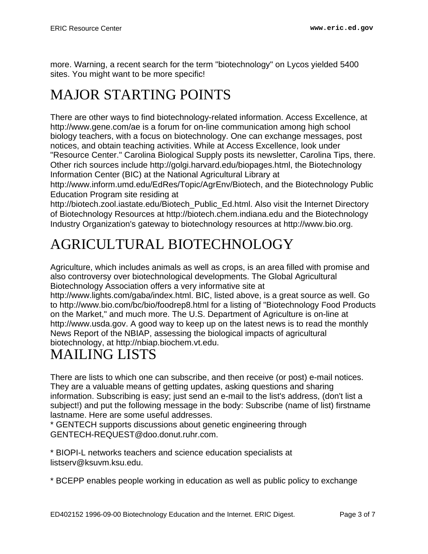more. Warning, a recent search for the term "biotechnology" on Lycos yielded 5400 sites. You might want to be more specific!

## <span id="page-2-0"></span>MAJOR STARTING POINTS

There are other ways to find biotechnology-related information. Access Excellence, at http://www.gene.com/ae is a forum for on-line communication among high school biology teachers, with a focus on biotechnology. One can exchange messages, post notices, and obtain teaching activities. While at Access Excellence, look under "Resource Center." Carolina Biological Supply posts its newsletter, Carolina Tips, there. Other rich sources include http://golgi.harvard.edu/biopages.html, the Biotechnology Information Center (BIC) at the National Agricultural Library at

http://www.inform.umd.edu/EdRes/Topic/AgrEnv/Biotech, and the Biotechnology Public Education Program site residing at

http://biotech.zool.iastate.edu/Biotech\_Public\_Ed.html. Also visit the Internet Directory of Biotechnology Resources at http://biotech.chem.indiana.edu and the Biotechnology Industry Organization's gateway to biotechnology resources at http://www.bio.org.

## <span id="page-2-1"></span>AGRICULTURAL BIOTECHNOLOGY

Agriculture, which includes animals as well as crops, is an area filled with promise and also controversy over biotechnological developments. The Global Agricultural Biotechnology Association offers a very informative site at

http://www.lights.com/gaba/index.html. BIC, listed above, is a great source as well. Go to http://www.bio.com/bc/bio/foodrep8.html for a listing of "Biotechnology Food Products on the Market," and much more. The U.S. Department of Agriculture is on-line at http://www.usda.gov. A good way to keep up on the latest news is to read the monthly News Report of the NBIAP, assessing the biological impacts of agricultural biotechnology, at http://nbiap.biochem.vt.edu.

#### <span id="page-2-2"></span>MAILING LISTS

There are lists to which one can subscribe, and then receive (or post) e-mail notices. They are a valuable means of getting updates, asking questions and sharing information. Subscribing is easy; just send an e-mail to the list's address, (don't list a subject!) and put the following message in the body: Subscribe (name of list) firstname lastname. Here are some useful addresses.

\* GENTECH supports discussions about genetic engineering through GENTECH-REQUEST@doo.donut.ruhr.com.

\* BIOPI-L networks teachers and science education specialists at listserv@ksuvm.ksu.edu.

\* BCEPP enables people working in education as well as public policy to exchange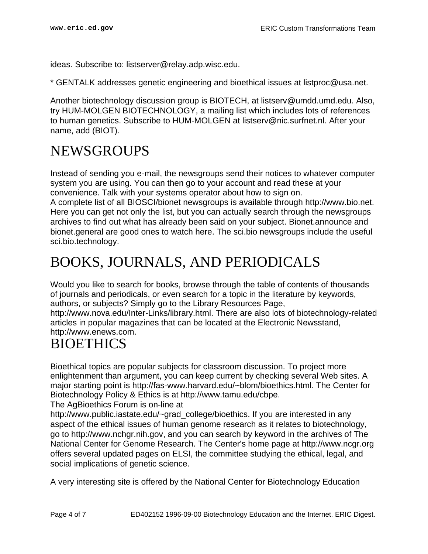ideas. Subscribe to: listserver@relay.adp.wisc.edu.

\* GENTALK addresses genetic engineering and bioethical issues at listproc@usa.net.

Another biotechnology discussion group is BIOTECH, at listserv@umdd.umd.edu. Also, try HUM-MOLGEN BIOTECHNOLOGY, a mailing list which includes lots of references to human genetics. Subscribe to HUM-MOLGEN at listserv@nic.surfnet.nl. After your name, add (BIOT).

#### <span id="page-3-0"></span>NEWSGROUPS

Instead of sending you e-mail, the newsgroups send their notices to whatever computer system you are using. You can then go to your account and read these at your convenience. Talk with your systems operator about how to sign on.

A complete list of all BIOSCI/bionet newsgroups is available through http://www.bio.net. Here you can get not only the list, but you can actually search through the newsgroups archives to find out what has already been said on your subject. Bionet.announce and bionet.general are good ones to watch here. The sci.bio newsgroups include the useful sci.bio.technology.

#### <span id="page-3-1"></span>BOOKS, JOURNALS, AND PERIODICALS

Would you like to search for books, browse through the table of contents of thousands of journals and periodicals, or even search for a topic in the literature by keywords, authors, or subjects? Simply go to the Library Resources Page,

http://www.nova.edu/Inter-Links/library.html. There are also lots of biotechnology-related articles in popular magazines that can be located at the Electronic Newsstand, http://www.enews.com.

#### <span id="page-3-2"></span>**BIOETHICS**

Bioethical topics are popular subjects for classroom discussion. To project more enlightenment than argument, you can keep current by checking several Web sites. A major starting point is http://fas-www.harvard.edu/~blom/bioethics.html. The Center for Biotechnology Policy & Ethics is at http://www.tamu.edu/cbpe.

The AgBioethics Forum is on-line at

http://www.public.iastate.edu/~grad\_college/bioethics. If you are interested in any aspect of the ethical issues of human genome research as it relates to biotechnology, go to http://www.nchgr.nih.gov, and you can search by keyword in the archives of The National Center for Genome Research. The Center's home page at http://www.ncgr.org offers several updated pages on ELSI, the committee studying the ethical, legal, and social implications of genetic science.

A very interesting site is offered by the National Center for Biotechnology Education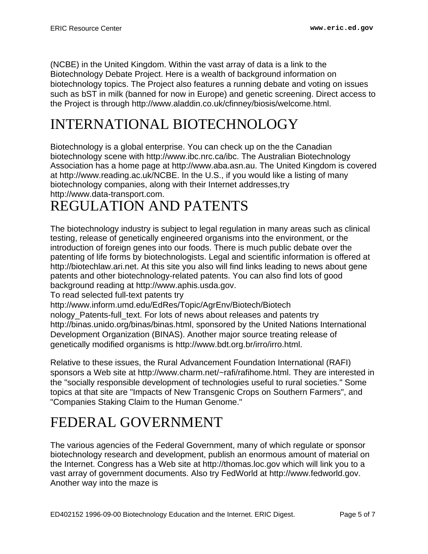(NCBE) in the United Kingdom. Within the vast array of data is a link to the Biotechnology Debate Project. Here is a wealth of background information on biotechnology topics. The Project also features a running debate and voting on issues such as bST in milk (banned for now in Europe) and genetic screening. Direct access to the Project is through http://www.aladdin.co.uk/cfinney/biosis/welcome.html.

# <span id="page-4-0"></span>INTERNATIONAL BIOTECHNOLOGY

Biotechnology is a global enterprise. You can check up on the the Canadian biotechnology scene with http://www.ibc.nrc.ca/ibc. The Australian Biotechnology Association has a home page at http://www.aba.asn.au. The United Kingdom is covered at http://www.reading.ac.uk/NCBE. In the U.S., if you would like a listing of many biotechnology companies, along with their Internet addresses,try http://www.data-transport.com.

#### <span id="page-4-1"></span>REGULATION AND PATENTS

The biotechnology industry is subject to legal regulation in many areas such as clinical testing, release of genetically engineered organisms into the environment, or the introduction of foreign genes into our foods. There is much public debate over the patenting of life forms by biotechnologists. Legal and scientific information is offered at http://biotechlaw.ari.net. At this site you also will find links leading to news about gene patents and other biotechnology-related patents. You can also find lots of good background reading at http://www.aphis.usda.gov.

To read selected full-text patents try

http://www.inform.umd.edu/EdRes/Topic/AgrEnv/Biotech/Biotech

nology\_Patents-full\_text. For lots of news about releases and patents try http://binas.unido.org/binas/binas.html, sponsored by the United Nations International Development Organization (BINAS). Another major source treating release of genetically modified organisms is http://www.bdt.org.br/irro/irro.html.

Relative to these issues, the Rural Advancement Foundation International (RAFI) sponsors a Web site at http://www.charm.net/~rafi/rafihome.html. They are interested in the "socially responsible development of technologies useful to rural societies." Some topics at that site are "Impacts of New Transgenic Crops on Southern Farmers", and "Companies Staking Claim to the Human Genome."

#### <span id="page-4-2"></span>FEDERAL GOVERNMENT

The various agencies of the Federal Government, many of which regulate or sponsor biotechnology research and development, publish an enormous amount of material on the Internet. Congress has a Web site at http://thomas.loc.gov which will link you to a vast array of government documents. Also try FedWorld at http://www.fedworld.gov. Another way into the maze is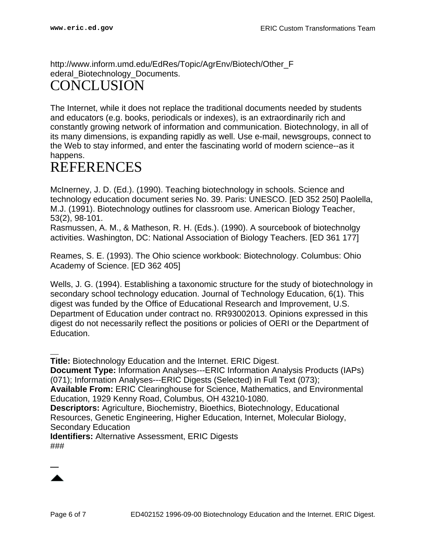http://www.inform.umd.edu/EdRes/Topic/AgrEnv/Biotech/Other\_F ederal Biotechnology Documents.

#### <span id="page-5-0"></span>CONCLUSION

The Internet, while it does not replace the traditional documents needed by students and educators (e.g. books, periodicals or indexes), is an extraordinarily rich and constantly growing network of information and communication. Biotechnology, in all of its many dimensions, is expanding rapidly as well. Use e-mail, newsgroups, connect to the Web to stay informed, and enter the fascinating world of modern science--as it happens.

#### <span id="page-5-1"></span>**REFERENCES**

McInerney, J. D. (Ed.). (1990). Teaching biotechnology in schools. Science and technology education document series No. 39. Paris: UNESCO. [ED 352 250] Paolella, M.J. (1991). Biotechnology outlines for classroom use. American Biology Teacher, 53(2), 98-101.

Rasmussen, A. M., & Matheson, R. H. (Eds.). (1990). A sourcebook of biotechnolgy activities. Washington, DC: National Association of Biology Teachers. [ED 361 177]

Reames, S. E. (1993). The Ohio science workbook: Biotechnology. Columbus: Ohio Academy of Science. [ED 362 405]

Wells, J. G. (1994). Establishing a taxonomic structure for the study of biotechnology in secondary school technology education. Journal of Technology Education, 6(1). This digest was funded by the Office of Educational Research and Improvement, U.S. Department of Education under contract no. RR93002013. Opinions expressed in this digest do not necessarily reflect the positions or policies of OERI or the Department of Education.

**Title:** Biotechnology Education and the Internet. ERIC Digest.

**Document Type:** Information Analyses---ERIC Information Analysis Products (IAPs) (071); Information Analyses---ERIC Digests (Selected) in Full Text (073);

**Available From:** ERIC Clearinghouse for Science, Mathematics, and Environmental Education, 1929 Kenny Road, Columbus, OH 43210-1080.

**Descriptors:** Agriculture, Biochemistry, Bioethics, Biotechnology, Educational Resources, Genetic Engineering, Higher Education, Internet, Molecular Biology, Secondary Education

**Identifiers:** Alternative Assessment, ERIC Digests ###